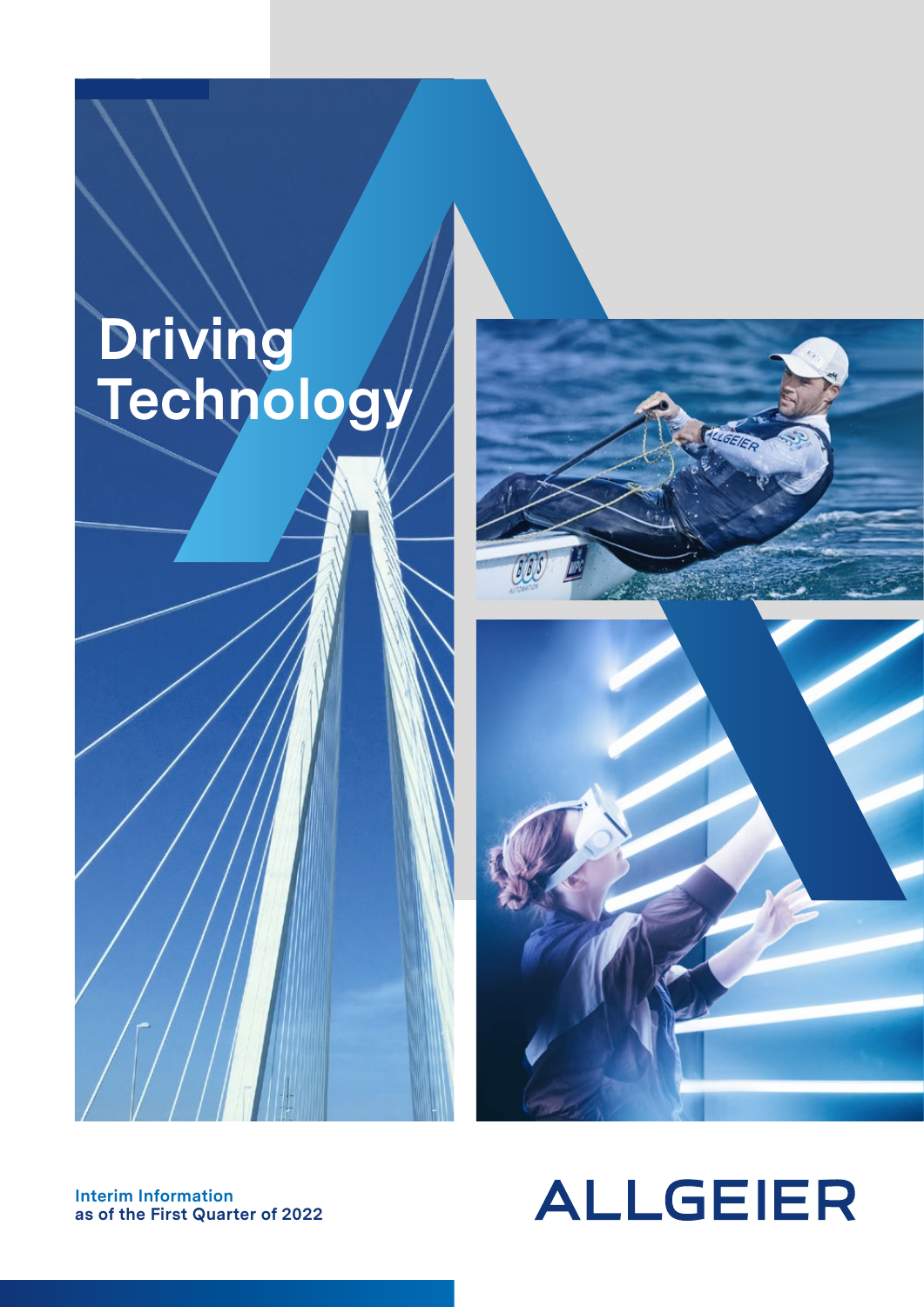# **Driving Technology**





**Interim Information as of the First Quarter of 2022**

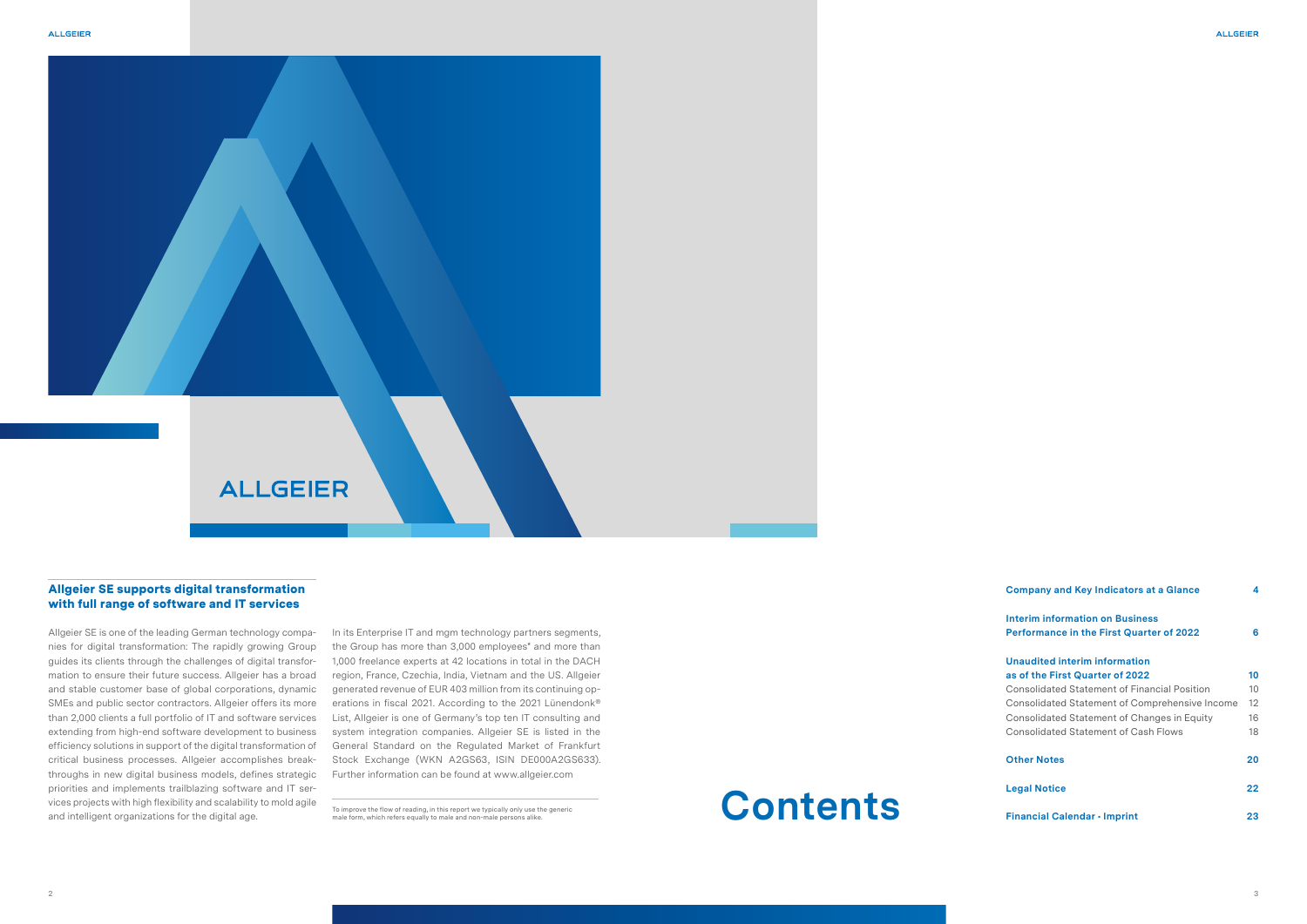### **ALLGEIER**

#### Allgeier SE supports digital transformation with full range of software and IT services

Allgeier SE is one of the leading German technology companies for digital transformation: The rapidly growing Group guides its clients through the challenges of digital transformation to ensure their future success. Allgeier has a broad and stable customer base of global corporations, dynamic SMEs and public sector contractors. Allgeier offers its more than 2,000 clients a full portfolio of IT and software services extending from high-end software development to business efficiency solutions in support of the digital transformation of critical business processes. Allgeier accomplishes breakthroughs in new digital business models, defines strategic priorities and implements trailblazing software and IT services projects with high flexibility and scalability to mold agile and intelligent organizations for the digital age.<br>To improve the flow of reading, in this report we typically only use the generic<br>male form, which refers equally to male and non-male persons alike.

### **Company and Key Indicators at a Glance 4 Interim information on Business Performance in the First Quarter of 2022 6 Unaudited interim information as of the First Quarter of 2022 10** Consolidated Statement of Financial Position 10 Consolidated Statement of Comprehensive Income 12 Consolidated Statement of Changes in Equity 16 Consolidated Statement of Cash Flows 18 **Other Notes 20 Legal Notice 22 Financial Calendar • Imprint 23**

In its Enterprise IT and mgm technology partners segments, the Group has more than 3,000 employees\* and more than 1,000 freelance experts at 42 locations in total in the DACH region, France, Czechia, India, Vietnam and the US. Allgeier generated revenue of EUR 403 million from its continuing operations in fiscal 2021. According to the 2021 Lünendonk® List, Allgeier is one of Germany's top ten IT consulting and system integration companies. Allgeier SE is listed in the General Standard on the Regulated Market of Frankfurt Stock Exchange (WKN A2GS63, ISIN DE000A2GS633). Further information can be found at www.allgeier.com

### **Contents**

male form, which refers equally to male and non-male persons alike.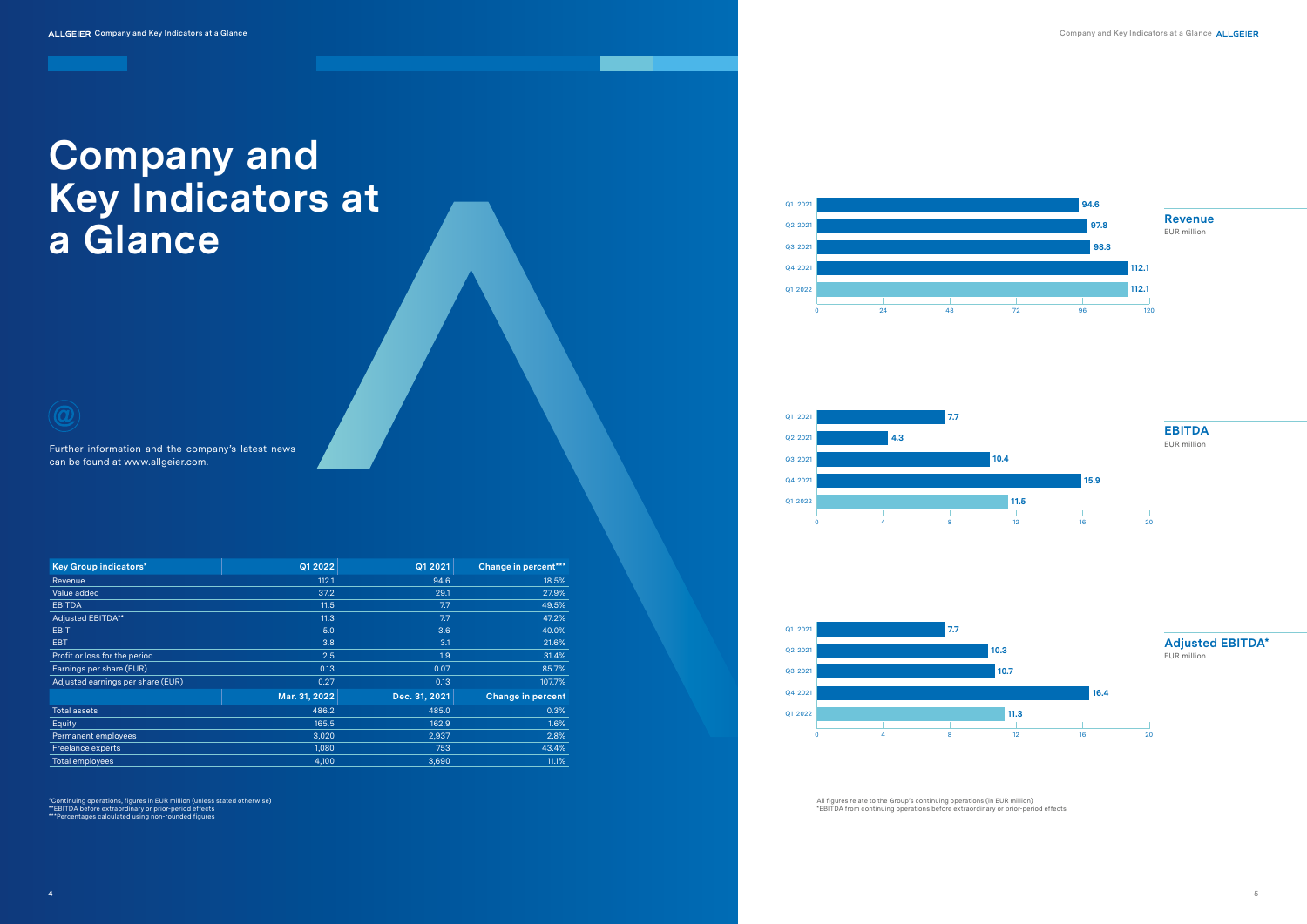All figures relate to the Group's continuing operations (in EUR million) \*EBITDA from continuing operations before extraordinary or prior-period effects



## **Company and Key Indicators at a Glance**

 $\widehat{a}$ 

Further information and the company's latest news can be found at www.allgeier.com.

| <b>Key Group indicators*</b>      | Q1 2022       | Q1 2021       | Change in percent***     |
|-----------------------------------|---------------|---------------|--------------------------|
| Revenue                           | 112.1         | 94.6          | 18.5%                    |
| Value added                       | 37.2          | 29.1          | 27.9%                    |
| <b>EBITDA</b>                     | 11.5          | 7.7           | 49.5%                    |
| Adjusted EBITDA**                 | 11.3          | 7.7           | 47.2%                    |
| <b>EBIT</b>                       | 5.0           | 3.6           | 40.0%                    |
| EBT                               | 3.8           | 3.1           | 21.6%                    |
| Profit or loss for the period     | 2.5           | 1.9           | 31.4%                    |
| Earnings per share (EUR)          | 0.13          | 0.07          | 85.7%                    |
| Adjusted earnings per share (EUR) | 0.27          | 0.13          | 107.7%                   |
|                                   | Mar. 31, 2022 | Dec. 31, 2021 | <b>Change in percent</b> |
| <b>Total assets</b>               | 486.2         | 485.0         | 0.3%                     |
| Equity                            | 165.5         | 162.9         | 1.6%                     |
| Permanent employees               | 3,020         | 2,937         | 2.8%                     |
| Freelance experts                 | 1,080         | 753           | 43.4%                    |
| <b>Total employees</b>            | 4,100         | 3,690         | 11.1%                    |

\*Continuing operations, figures in EUR million (unless stated otherwise)<br>\*\*EBITDA before extraordinary or prior-period effects<br>\*\*\*Percentages calculated using non-rounded figures













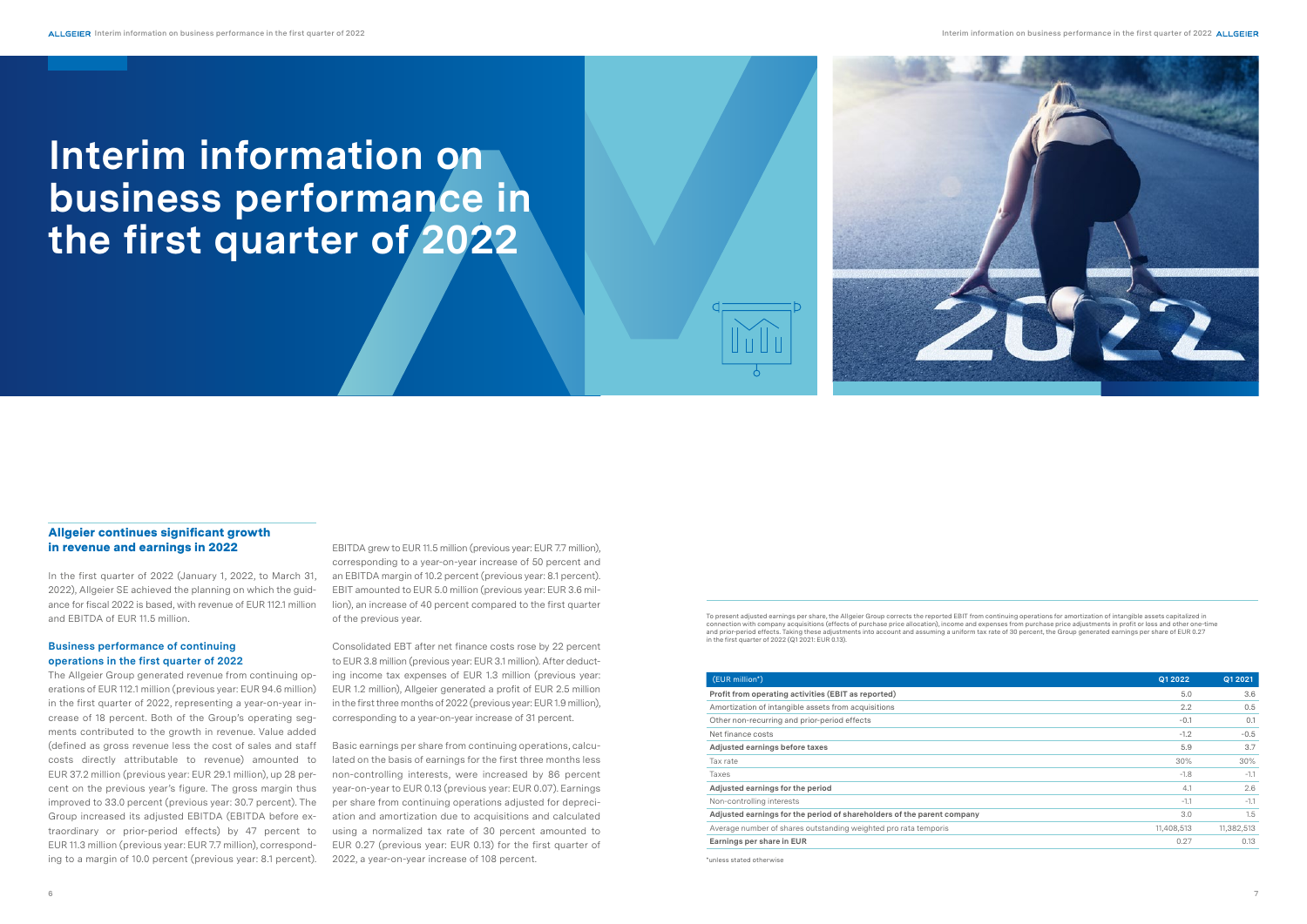EBITDA grew to EUR 11.5 million (previous year: EUR 7.7 million), corresponding to a year-on-year increase of 50 percent and an EBITDA margin of 10.2 percent (previous year: 8.1 percent). EBIT amounted to EUR 5.0 million (previous year: EUR 3.6 million), an increase of 40 percent compared to the first quarter of the previous year.

Consolidated EBT after net finance costs rose by 22 percent to EUR 3.8 million (previous year: EUR 3.1 million). After deducting income tax expenses of EUR 1.3 million (previous year: EUR 1.2 million), Allgeier generated a profit of EUR 2.5 million in the first three months of 2022 (previous year: EUR 1.9 million), corresponding to a year-on-year increase of 31 percent.

Basic earnings per share from continuing operations, calculated on the basis of earnings for the first three months less non-controlling interests, were increased by 86 percent year-on-year to EUR 0.13 (previous year: EUR 0.07). Earnings per share from continuing operations adjusted for depreciation and amortization due to acquisitions and calculated using a normalized tax rate of 30 percent amounted to EUR 0.27 (previous year: EUR 0.13) for the first quarter of 2022, a year-on-year increase of 108 percent.

#### Allgeier continues significant growth in revenue and earnings in 2022

In the first quarter of 2022 (January 1, 2022, to March 31, 2022), Allgeier SE achieved the planning on which the guidance for fiscal 2022 is based, with revenue of EUR 112.1 million and EBITDA of EUR 11.5 million.

#### **Business performance of continuing operations in the first quarter of 2022**

The Allgeier Group generated revenue from continuing operations of EUR 112.1 million (previous year: EUR 94.6 million) in the first quarter of 2022, representing a year-on-year increase of 18 percent. Both of the Group's operating segments contributed to the growth in revenue. Value added (defined as gross revenue less the cost of sales and staff costs directly attributable to revenue) amounted to EUR 37.2 million (previous year: EUR 29.1 million), up 28 percent on the previous year's figure. The gross margin thus improved to 33.0 percent (previous year: 30.7 percent). The Group increased its adjusted EBITDA (EBITDA before extraordinary or prior-period effects) by 47 percent to EUR 11.3 million (previous year: EUR 7.7 million), corresponding to a margin of 10.0 percent (previous year: 8.1 percent).

## **Interim information on business performance in the first quarter of 2022**



| (EUR million*)                                                         | Q1 2022    | Q1 2021    |
|------------------------------------------------------------------------|------------|------------|
| Profit from operating activities (EBIT as reported)                    | 5.0        | 3.6        |
| Amortization of intangible assets from acquisitions                    | 2.2        | 0.5        |
| Other non-recurring and prior-period effects                           | $-0.1$     | 0.1        |
| Net finance costs                                                      | $-1.2$     | $-0.5$     |
| Adjusted earnings before taxes                                         | 5.9        | 3.7        |
| Tax rate                                                               | 30%        | 30%        |
| Taxes                                                                  | $-1.8$     | $-1.1$     |
| Adjusted earnings for the period                                       | 4.1        | 2.6        |
| Non-controlling interests                                              | $-1.1$     | $-1.1$     |
| Adjusted earnings for the period of shareholders of the parent company | 3.0        | 1.5        |
| Average number of shares outstanding weighted pro rata temporis        | 11,408,513 | 11,382,513 |
| Earnings per share in EUR                                              | 0.27       | 0.13       |
|                                                                        |            |            |

To present adjusted earnings per share, the Allgeier Group corrects the reported EBIT from continuing operations for amortization of intangible assets capitalized in connection with company acquisitions (effects of purchase price allocation), income and expenses from purchase price adjustments in profit or loss and other one-time<br>and prior-period effects. Taking these adjustments into in the first quarter of 2022 (Q1 2021: EUR 0.13).

\*unless stated otherwise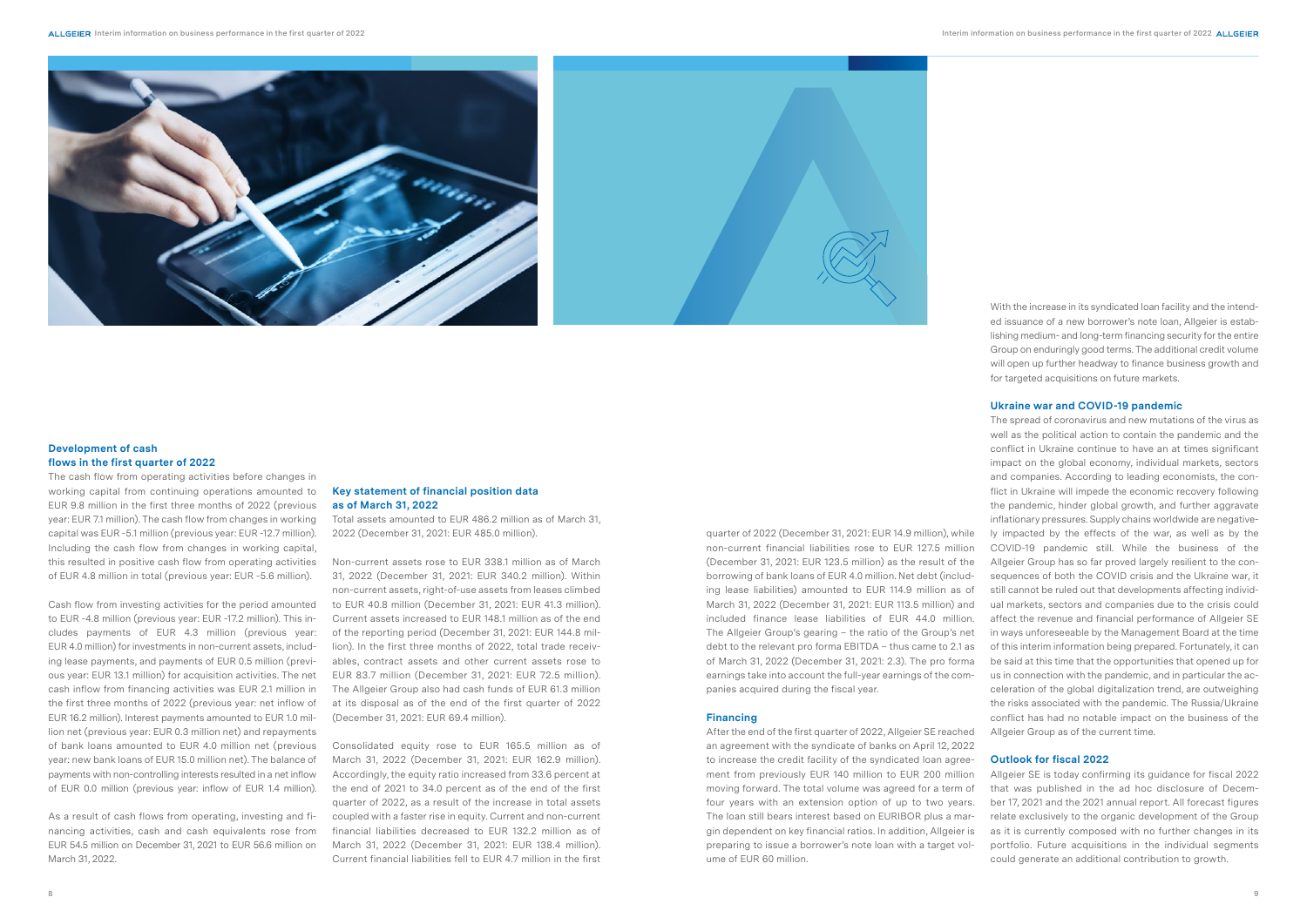



#### **Development of cash flows in the first quarter of 2022**

The cash flow from operating activities before changes in working capital from continuing operations amounted to EUR 9.8 million in the first three months of 2022 (previous year: EUR 7.1 million). The cash flow from changes in working capital was EUR -5.1 million (previous year: EUR -12.7 million). Including the cash flow from changes in working capital this resulted in positive cash flow from operating activities of EUR 4.8 million in total (previous year: EUR -5.6 million).

Cash flow from investing activities for the period amounted to EUR -4.8 million (previous year: EUR -17.2 million). This includes payments of EUR 4.3 million (previous year: EUR 4.0 million) for investments in non-current assets, including lease payments, and payments of EUR 0.5 million (previous year: EUR 13.1 million) for acquisition activities. The net cash inflow from financing activities was EUR 2.1 million in the first three months of 2022 (previous year: net inflow of EUR 16.2 million). Interest payments amounted to EUR 1.0 million net (previous year: EUR 0.3 million net) and repayments of bank loans amounted to EUR 4.0 million net (previous year: new bank loans of EUR 15.0 million net). The balance of payments with non-controlling interests resulted in a net inflow of EUR 0.0 million (previous year: inflow of EUR 1.4 million).

As a result of cash flows from operating, investing and financing activities, cash and cash equivalents rose from EUR 54.5 million on December 31, 2021 to EUR 56.6 million on March 31, 2022.

#### **Key statement of financial position data as of March 31, 2022**

Total assets amounted to EUR 486.2 million as of March 31, 2022 (December 31, 2021: EUR 485.0 million).

Non-current assets rose to EUR 338.1 million as of March 31, 2022 (December 31, 2021: EUR 340.2 million). Within non-current assets, right-of-use assets from leases climbed to EUR 40.8 million (December 31, 2021: EUR 41.3 million). Current assets increased to EUR 148.1 million as of the end of the reporting period (December 31, 2021: EUR 144.8 million). In the first three months of 2022, total trade receivables, contract assets and other current assets rose to EUR 83.7 million (December 31, 2021: EUR 72.5 million). The Allgeier Group also had cash funds of EUR 61.3 million at its disposal as of the end of the first quarter of 2022 (December 31, 2021: EUR 69.4 million).

Consolidated equity rose to EUR 165.5 million as of March 31, 2022 (December 31, 2021: EUR 162.9 million). Accordingly, the equity ratio increased from 33.6 percent at the end of 2021 to 34.0 percent as of the end of the first quarter of 2022, as a result of the increase in total assets coupled with a faster rise in equity. Current and non-current financial liabilities decreased to EUR 132.2 million as of March 31, 2022 (December 31, 2021: EUR 138.4 million). Current financial liabilities fell to EUR 4.7 million in the first

quarter of 2022 (December 31, 2021: EUR 14.9 million), while non-current financial liabilities rose to EUR 127.5 million (December 31, 2021: EUR 123.5 million) as the result of the borrowing of bank loans of EUR 4.0 million. Net debt (including lease liabilities) amounted to EUR 114.9 million as of March 31, 2022 (December 31, 2021: EUR 113.5 million) and included finance lease liabilities of EUR 44.0 million. The Allgeier Group's gearing – the ratio of the Group's net debt to the relevant pro forma EBITDA – thus came to 2.1 as of March 31, 2022 (December 31, 2021: 2.3). The pro forma earnings take into account the full-year earnings of the companies acquired during the fiscal year.

#### **Financing**

After the end of the first quarter of 2022, Allgeier SE reached an agreement with the syndicate of banks on April 12, 2022 to increase the credit facility of the syndicated loan agreement from previously EUR 140 million to EUR 200 million moving forward. The total volume was agreed for a term of four years with an extension option of up to two years. The loan still bears interest based on EURIBOR plus a margin dependent on key financial ratios. In addition, Allgeier is preparing to issue a borrower's note loan with a target volume of EUR 60 million.

With the increase in its syndicated loan facility and the intended issuance of a new borrower's note loan. Allgeier is establishing medium- and long-term financing security for the entire Group on enduringly good terms. The additional credit volume will open up further headway to finance business growth and for targeted acquisitions on future markets.

#### **Ukraine war and COVID-19 pandemic**

The spread of coronavirus and new mutations of the virus as well as the political action to contain the pandemic and the conflict in Ukraine continue to have an at times significant impact on the global economy, individual markets, sectors and companies. According to leading economists, the conflict in Ukraine will impede the economic recovery following the pandemic, hinder global growth, and further aggravate inflationary pressures. Supply chains worldwide are negatively impacted by the effects of the war, as well as by the COVID-19 pandemic still. While the business of the Allgeier Group has so far proved largely resilient to the consequences of both the COVID crisis and the Ukraine war, it still cannot be ruled out that developments affecting individual markets, sectors and companies due to the crisis could affect the revenue and financial performance of Allgeier SE in ways unforeseeable by the Management Board at the time of this interim information being prepared. Fortunately, it can be said at this time that the opportunities that opened up for us in connection with the pandemic, and in particular the acceleration of the global digitalization trend, are outweighing the risks associated with the pandemic. The Russia/Ukraine conflict has had no notable impact on the business of the Allgeier Group as of the current time.

#### **Outlook for fiscal 2022**

Allgeier SE is today confirming its guidance for fiscal 2022 that was published in the ad hoc disclosure of December 17, 2021 and the 2021 annual report. All forecast figures relate exclusively to the organic development of the Group as it is currently composed with no further changes in its portfolio. Future acquisitions in the individual segments could generate an additional contribution to growth.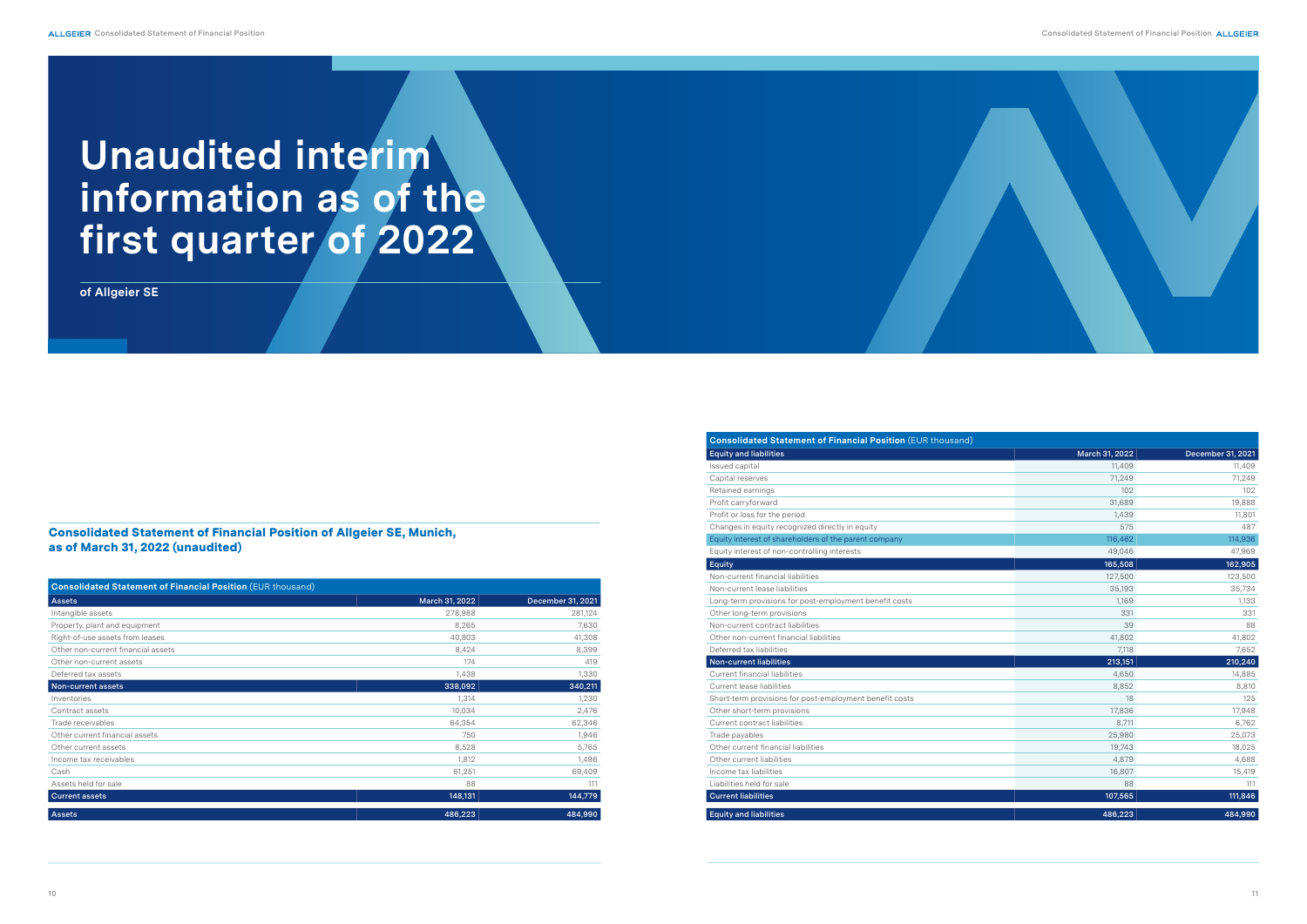#### Consolidated Statement of Financial Position of Allgeier SE, Munich, as of March 31, 2022 (unaudited)

| <b>Equity and liabilities</b>                           | March 31, 2022 | December 31, 2021 |
|---------------------------------------------------------|----------------|-------------------|
| Issued capital                                          | 11.409         | 11,409            |
| Capital reserves                                        | 71,249         | 71,249            |
| Retained earnings                                       | 102            | 102               |
| Profit carryforward                                     | 31,689         | 19,888            |
| Profit or loss for the period                           | 1,439          | 11,801            |
| Changes in equity recognized directly in equity         | 575            | 487               |
| Equity interest of shareholders of the parent company   | 116,462        | 114,936           |
| Equity interest of non-controlling interests            | 49,046         | 47,969            |
| Equity                                                  | 165,508        | 162,905           |
| Non-current financial liabilities                       | 127,500        | 123,500           |
| Non-current lease liabilities                           | 35,193         | 35,734            |
| Long-term provisions for post-employment benefit costs  | 1,169          | 1,133             |
| Other long-term provisions                              | 331            | 331               |
| Non-current contract liabilities                        | 39             | 88                |
| Other non-current financial liabilities                 | 41,802         | 41,802            |
| Deferred tax liabilities                                | 7,118          | 7,652             |
| <b>Non-current liabilities</b>                          | 213,151        | 210,240           |
| Current financial liabilities                           | 4,650          | 14,885            |
| Current lease liabilities                               | 8,852          | 8,810             |
| Short-term provisions for post-employment benefit costs | 18             | 125               |
| Other short-term provisions                             | 17,836         | 17,948            |
| Current contract liabilities                            | 8,711          | 6,762             |
| Trade payables                                          | 25,980         | 25,073            |
| Other current financial liabilities                     | 19,743         | 18,025            |
| Other current liabilities                               | 4,879          | 4,688             |
| Income tax liabilities                                  | 16,807         | 15,419            |
| Liabilities held for sale                               | 88             | 111               |
| <b>Current liabilities</b>                              | 107,565        | 111,846           |
| <b>Equity and liabilities</b>                           | 486,223        | 484,990           |

| <b>Consolidated Statement of Financial Position (EUR thousand)</b> |                |                   |  |  |  |  |
|--------------------------------------------------------------------|----------------|-------------------|--|--|--|--|
| <b>Assets</b>                                                      | March 31, 2022 | December 31, 2021 |  |  |  |  |
| Intangible assets                                                  | 278,988        | 281,124           |  |  |  |  |
| Property, plant and equipment                                      | 8,265          | 7,630             |  |  |  |  |
| Right-of-use assets from leases                                    | 40,803         | 41,308            |  |  |  |  |
| Other non-current financial assets                                 | 8,424          | 8,399             |  |  |  |  |
| Other non-current assets                                           | 174            | 419               |  |  |  |  |
| Deferred tax assets                                                | 1,438          | 1,330             |  |  |  |  |
| Non-current assets                                                 | 338,092        | 340,211           |  |  |  |  |
| Inventories                                                        | 1,314          | 1,230             |  |  |  |  |
| Contract assets                                                    | 10,034         | 2,476             |  |  |  |  |
| Trade receivables                                                  | 64,354         | 62,346            |  |  |  |  |
| Other current financial assets                                     | 750            | 1,946             |  |  |  |  |
| Other current assets                                               | 8,528          | 5,765             |  |  |  |  |
| Income tax receivables                                             | 1,812          | 1,496             |  |  |  |  |
| Cash                                                               | 61,251         | 69,409            |  |  |  |  |
| Assets held for sale                                               | 88             | 111               |  |  |  |  |
| <b>Current assets</b>                                              | 148,131        | 144,779           |  |  |  |  |
| Assets                                                             | 486,223        | 484,990           |  |  |  |  |

# **Unaudited interim information as of the first quarter of 2022**

**of Allgeier SE**



| March 31, 2022 | December 31, 2021 |
|----------------|-------------------|
| 11,409         | 11,409            |
| 71,249         | 71,249            |
| 102            | 102               |
| 31,689         | 19,888            |
| 1,439          | 11,801            |
| 575            | 487               |
| 116,462        | 114,936           |
| 49,046         | 47,969            |
| 165,508        | 162,905           |
| 127,500        | 123,500           |
| 35,193         | 35,734            |
| 1,169          | 1,133             |
| 331            | 331               |
| 39             | 88                |
| 41,802         | 41,802            |
| 7,118          | 7,652             |
| 213,151        | 210,240           |
| 4,650          | 14,885            |
| 8,852          | 8,810             |
| 18             | 125               |
| 17,836         | 17,948            |
| 8,711          | 6,762             |
| 25,980         | 25,073            |
| 19,743         | 18,025            |
| 4,879          | 4,688             |
| 16,807         | 15,419            |
| 88             | 111               |
| 107,565        | 111,846           |
| 486 223        | 484.990           |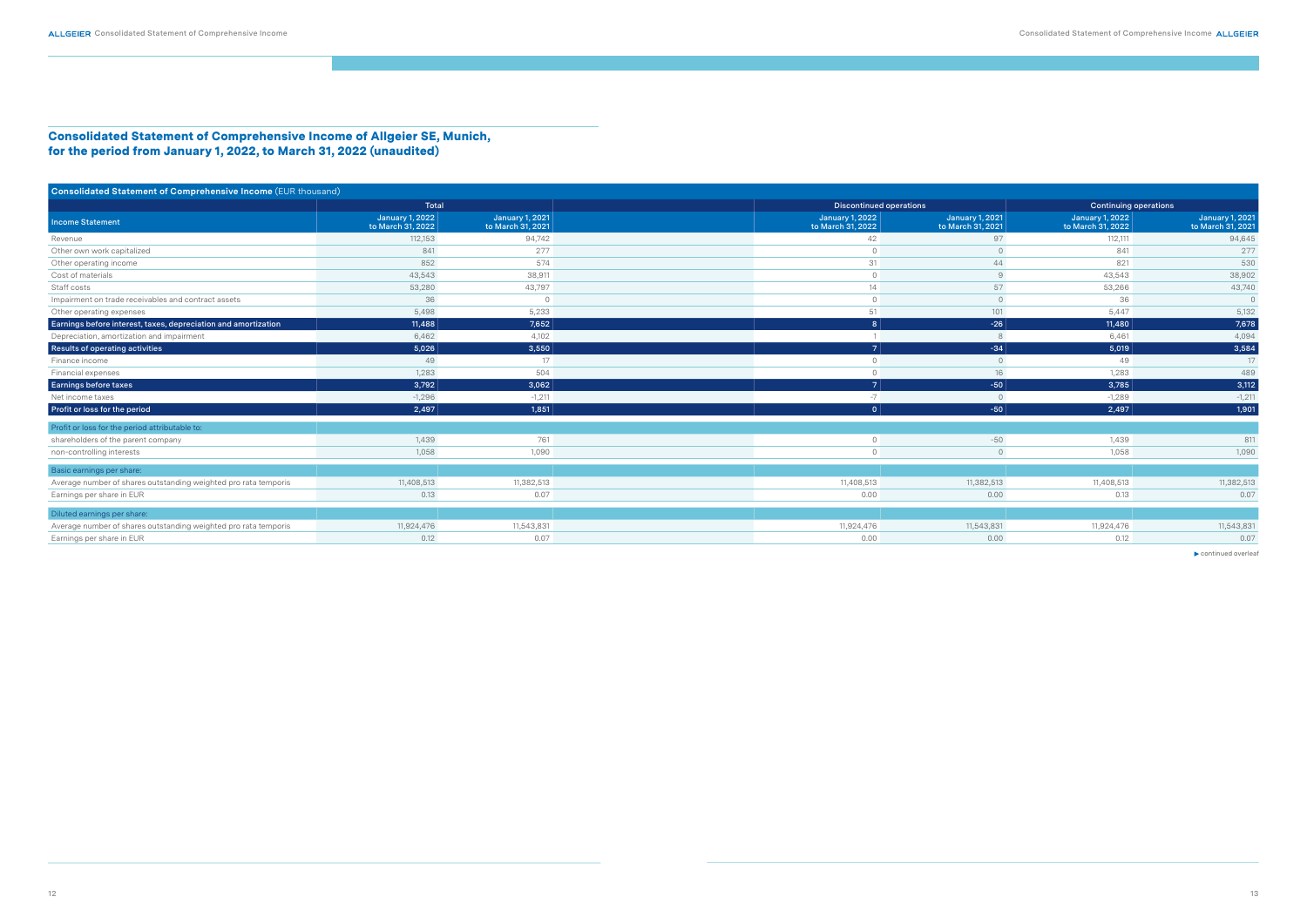Consolidated Statement of Comprehensive Income of Allgeier SE, Munich, for the period from January 1, 2022, to March 31, 2022 (unaudited)

| Consolidated Statement of Comprehensive Income (EUR thousand)   |                                             |                                             |                                             |                                             |                                             |                                             |
|-----------------------------------------------------------------|---------------------------------------------|---------------------------------------------|---------------------------------------------|---------------------------------------------|---------------------------------------------|---------------------------------------------|
|                                                                 | Total                                       |                                             |                                             | Discontinued operations                     |                                             | <b>Continuing operations</b>                |
| <b>Income Statement</b>                                         | <b>January 1, 2022</b><br>to March 31, 2022 | <b>January 1, 2021</b><br>to March 31, 2021 | <b>January 1, 2022</b><br>to March 31, 2022 | <b>January 1, 2021</b><br>to March 31, 2021 | <b>January 1, 2022</b><br>to March 31, 2022 | <b>January 1, 2021</b><br>to March 31, 2021 |
| Revenue                                                         | 112,153                                     | 94,742                                      | 42                                          | 97                                          | 112,111                                     | 94,645                                      |
| Other own work capitalized                                      | 841                                         | 277                                         |                                             |                                             | 841                                         | 277                                         |
| Other operating income                                          | 852                                         | 574                                         | 31                                          | 44                                          | 821                                         | 530                                         |
| Cost of materials                                               | 43,543                                      | 38,911                                      |                                             |                                             | 43,543                                      | 38,902                                      |
| Staff costs                                                     | 53,280                                      | 43,797                                      | 14                                          | 57                                          | 53,266                                      | 43,740                                      |
| Impairment on trade receivables and contract assets             | 36                                          |                                             |                                             |                                             | 36                                          | $\circ$                                     |
| Other operating expenses                                        | 5,498                                       | 5,233                                       | 51                                          | 101                                         | 5,447                                       | 5,132                                       |
| Earnings before interest, taxes, depreciation and amortization  | 11,488                                      | 7,652                                       | 8 <sup>1</sup>                              | $-26$                                       | 11,480                                      | 7,678                                       |
| Depreciation, amortization and impairment                       | 6,462                                       | 4,102                                       |                                             |                                             | 6,461                                       | 4,094                                       |
| Results of operating activities                                 | 5,026                                       | 3,550                                       | 7 <sup>1</sup>                              | $-34$                                       | 5,019                                       | 3,584                                       |
| Finance income                                                  | 49                                          | 17                                          |                                             |                                             | 49                                          | 17                                          |
| Financial expenses                                              | 1,283                                       | 504                                         |                                             | 16                                          | 1,283                                       | 489                                         |
| Earnings before taxes                                           | 3,792                                       | 3,062                                       | 7 <sup>1</sup>                              | $-50$                                       | 3,785                                       | 3,112                                       |
| Net income taxes                                                | $-1,296$                                    | $-1,211$                                    | $-7$                                        |                                             | $-1,289$                                    | $-1,211$                                    |
| Profit or loss for the period                                   | 2,497                                       | 1,851                                       | 0                                           | $-50$                                       | 2,497                                       | 1,901                                       |
| Profit or loss for the period attributable to:                  |                                             |                                             |                                             |                                             |                                             |                                             |
| shareholders of the parent company                              | 1,439                                       | 761                                         | $\cap$                                      | $-50$                                       | 1,439                                       | 811                                         |
| non-controlling interests                                       | 1,058                                       | 1,090                                       |                                             |                                             | 1,058                                       | 1,090                                       |
| Basic earnings per share:                                       |                                             |                                             |                                             |                                             |                                             |                                             |
| Average number of shares outstanding weighted pro rata temporis | 11,408,513                                  | 11,382,513                                  | 11,408,513                                  | 11,382,513                                  | 11,408,513                                  | 11,382,513                                  |
| Earnings per share in EUR                                       | 0.13                                        | 0.07                                        | 0.00                                        | 0.00                                        | 0.13                                        | 0.07                                        |
| Diluted earnings per share:                                     |                                             |                                             |                                             |                                             |                                             |                                             |
| Average number of shares outstanding weighted pro rata temporis | 11,924,476                                  | 11,543,831                                  | 11,924,476                                  | 11,543,831                                  | 11,924,476                                  | 11,543,831                                  |
| Earnings per share in EUR                                       | 0.12                                        | 0.07                                        | 0.00                                        | 0.00                                        | 0.12                                        | 0.07                                        |

 $\blacktriangleright$  continued overleaf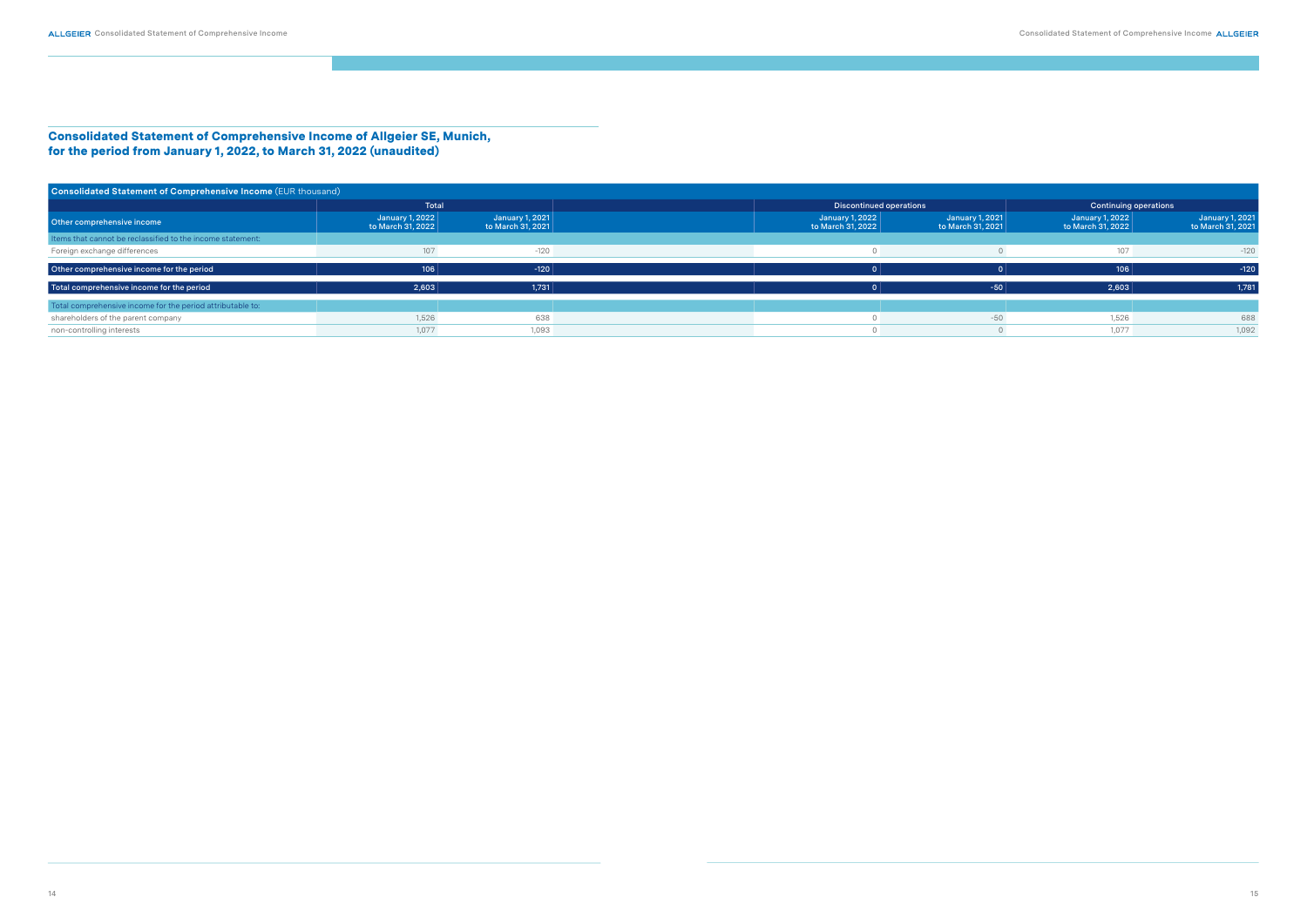Consolidated Statement of Comprehensive Income of Allgeier SE, Munich, for the period from January 1, 2022, to March 31, 2022 (unaudited)

| Consolidated Statement of Comprehensive Income (EUR thousand) |                                      |                                      |                                      |                                      |                                      |                                             |  |
|---------------------------------------------------------------|--------------------------------------|--------------------------------------|--------------------------------------|--------------------------------------|--------------------------------------|---------------------------------------------|--|
|                                                               | Total                                |                                      |                                      | Discontinued operations              | <b>Continuing operations</b>         |                                             |  |
| Other comprehensive income                                    | January 1, 2022<br>to March 31, 2022 | January 1, 2021<br>to March 31, 2021 | January 1, 2022<br>to March 31, 2022 | January 1, 2021<br>to March 31, 2021 | January 1, 2022<br>to March 31, 2022 | <b>January 1, 2021</b><br>to March 31, 2021 |  |
| Items that cannot be reclassified to the income statement:    |                                      |                                      |                                      |                                      |                                      |                                             |  |
| Foreign exchange differences                                  | 107                                  | $-120$                               |                                      |                                      | 107                                  | $-120$                                      |  |
| Other comprehensive income for the period                     | 106                                  | $-120$                               |                                      |                                      | 106                                  | $-120$                                      |  |
| Total comprehensive income for the period                     | 2,603                                | 1,731                                |                                      | $-50$                                | 2,603                                | 1,781                                       |  |
| Total comprehensive income for the period attributable to:    |                                      |                                      |                                      |                                      |                                      |                                             |  |
| shareholders of the parent company                            | 1,526                                | 638                                  |                                      | $-50$                                | 1,526                                | 688                                         |  |
| non-controlling interests                                     | 1,077                                | 1,093                                |                                      |                                      | 1,077                                | 1,092                                       |  |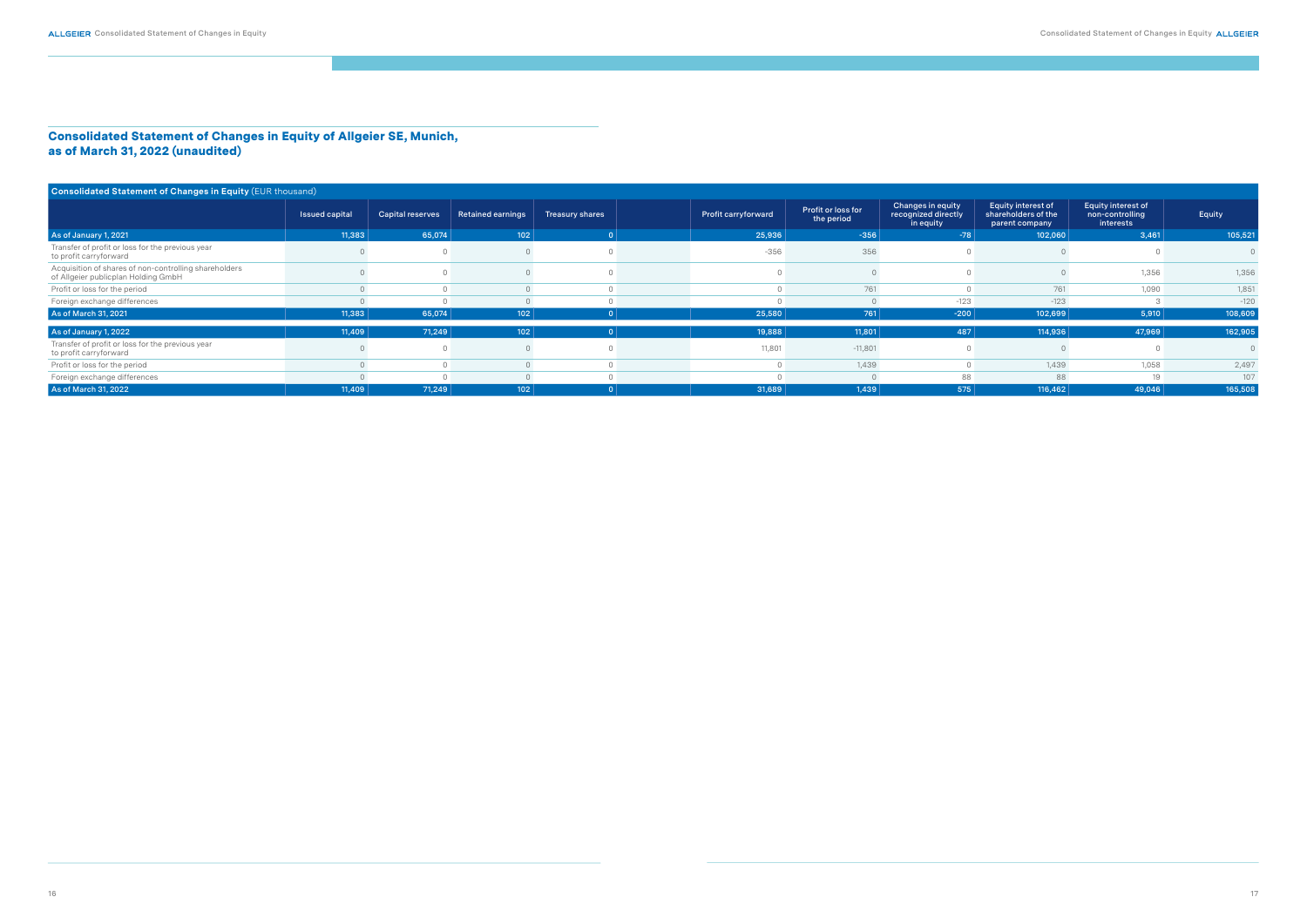#### Consolidated Statement of Changes in Equity of Allgeier SE, Munich, as of March 31, 2022 (unaudited)

| Consolidated Statement of Changes in Equity (EUR thousand)                                   |                |                         |                          |                        |                            |                                  |                                                       |                                                             |                                                           |         |
|----------------------------------------------------------------------------------------------|----------------|-------------------------|--------------------------|------------------------|----------------------------|----------------------------------|-------------------------------------------------------|-------------------------------------------------------------|-----------------------------------------------------------|---------|
|                                                                                              | Issued capital | <b>Capital reserves</b> | <b>Retained earnings</b> | <b>Treasury shares</b> | <b>Profit carryforward</b> | Profit or loss for<br>the period | Changes in equity<br>recognized directly<br>in equity | Equity interest of<br>shareholders of the<br>parent company | <b>Equity interest of</b><br>non-controlling<br>interests | Equity  |
| As of January 1, 2021                                                                        | 11,383         | 65,074                  | 102                      |                        | 25,936                     | $-356$                           | $-78$                                                 | 102,060                                                     | 3,461                                                     | 105,521 |
| Transfer of profit or loss for the previous year<br>to profit carryforward                   |                |                         |                          |                        | $-356$                     | 356                              |                                                       |                                                             |                                                           |         |
| Acquisition of shares of non-controlling shareholders<br>of Allgeier publicplan Holding GmbH |                |                         |                          |                        |                            |                                  |                                                       |                                                             | 1,356                                                     | 1,356   |
| Profit or loss for the period                                                                |                |                         |                          |                        |                            | 761                              |                                                       | 761                                                         | 1,090                                                     | 1,851   |
| Foreign exchange differences                                                                 |                |                         |                          |                        |                            |                                  | $-123$                                                | $-123$                                                      |                                                           | $-120$  |
| As of March 31, 2021                                                                         | 11,383         | 65,074                  | 102                      |                        | 25,580                     | 761                              | $-200$                                                | 102,699                                                     | 5,910                                                     | 108,609 |
| As of January 1, 2022                                                                        | 11,409         | 71,249                  | 102                      |                        | 19,888                     | 11,801                           | 487                                                   | 114,936                                                     | 47,969                                                    | 162,905 |
| Transfer of profit or loss for the previous year<br>to profit carryforward                   |                |                         |                          |                        | 11,801                     | $-11,801$                        |                                                       |                                                             |                                                           |         |
| Profit or loss for the period                                                                |                |                         |                          |                        |                            | 1,439                            |                                                       | 1,439                                                       | 1,058                                                     | 2,497   |
| Foreign exchange differences                                                                 |                |                         |                          |                        |                            |                                  | 88                                                    | 88                                                          | 19                                                        | 107     |
| As of March 31, 2022                                                                         | 11,409         | 71,249                  | 102                      |                        | 31,689                     | 1,439                            | 575                                                   | 116,462                                                     | 49,046                                                    | 165,508 |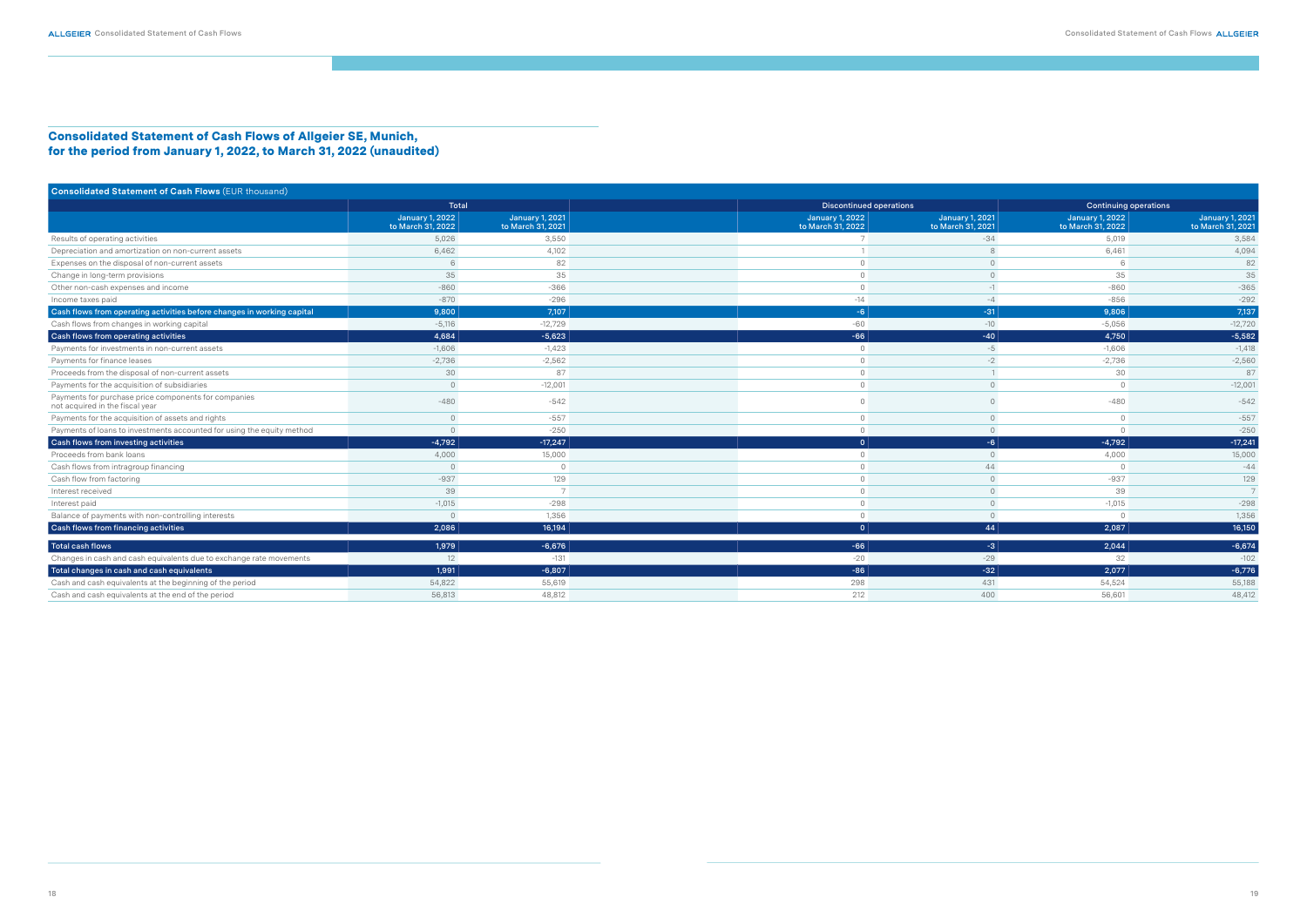#### Consolidated Statement of Cash Flows of Allgeier SE, Munich, for the period from January 1, 2022, to March 31, 2022 (unaudited)

| <b>Consolidated Statement of Cash Flows (EUR thousand)</b>                              |                                             |                                             |                                      |                                             |                                      |                                             |
|-----------------------------------------------------------------------------------------|---------------------------------------------|---------------------------------------------|--------------------------------------|---------------------------------------------|--------------------------------------|---------------------------------------------|
|                                                                                         | Total                                       |                                             | <b>Discontinued operations</b>       |                                             | <b>Continuing operations</b>         |                                             |
|                                                                                         | <b>January 1, 2022</b><br>to March 31, 2022 | <b>January 1, 2021</b><br>to March 31, 2021 | January 1, 2022<br>to March 31, 2022 | <b>January 1, 2021</b><br>to March 31, 2021 | January 1, 2022<br>to March 31, 2022 | <b>January 1, 2021</b><br>to March 31, 2021 |
| Results of operating activities                                                         | 5,026                                       | 3,550                                       |                                      | $-34$                                       | 5,019                                | 3,584                                       |
| Depreciation and amortization on non-current assets                                     | 6,462                                       | 4,102                                       |                                      |                                             | 6,461                                | 4,094                                       |
| Expenses on the disposal of non-current assets                                          |                                             | 82                                          |                                      |                                             |                                      | 82                                          |
| Change in long-term provisions                                                          | 35                                          | 35                                          |                                      |                                             | 35                                   | 35                                          |
| Other non-cash expenses and income                                                      | $-860$                                      | $-366$                                      |                                      | $-1$                                        | $-860$                               | $-365$                                      |
| Income taxes paid                                                                       | $-870$                                      | $-296$                                      | $-14$                                | $-4$                                        | $-856$                               | $-292$                                      |
| Cash flows from operating activities before changes in working capital                  | 9,800                                       | 7,107                                       | $-6$                                 | $-31$                                       | 9,806                                | 7,137                                       |
| Cash flows from changes in working capital                                              | $-5,116$                                    | $-12,729$                                   | -60                                  | $-10$                                       | $-5,056$                             | $-12,720$                                   |
| Cash flows from operating activities                                                    | 4,684                                       | $-5,623$                                    | $-66$                                | $-40$                                       | 4,750                                | $-5,582$                                    |
| Payments for investments in non-current assets                                          | $-1,606$                                    | $-1,423$                                    | $\Omega$                             | $-5$                                        | $-1,606$                             | $-1,418$                                    |
| Payments for finance leases                                                             | $-2,736$                                    | $-2,562$                                    |                                      | $-2$                                        | $-2,736$                             | $-2,560$                                    |
| Proceeds from the disposal of non-current assets                                        | 30                                          | 87                                          |                                      |                                             | 30                                   | 87                                          |
| Payments for the acquisition of subsidiaries                                            |                                             | $-12,001$                                   |                                      | $\Omega$                                    |                                      | $-12,001$                                   |
| Payments for purchase price components for companies<br>not acquired in the fiscal year | $-480$                                      | $-542$                                      |                                      |                                             | $-480$                               | $-542$                                      |
| Payments for the acquisition of assets and rights                                       |                                             | $-557$                                      |                                      |                                             | $\Omega$                             | $-557$                                      |
| Payments of loans to investments accounted for using the equity method                  |                                             | $-250$                                      |                                      | $\Omega$                                    |                                      | $-250$                                      |
| Cash flows from investing activities                                                    | $-4,792$                                    | $-17,247$                                   | 0                                    | $-6$                                        | $-4,792$                             | $-17,241$                                   |
| Proceeds from bank loans                                                                | 4,000                                       | 15,000                                      | $\cap$                               | $\Omega$                                    | 4,000                                | 15,000                                      |
| Cash flows from intragroup financing                                                    |                                             |                                             |                                      | 44                                          |                                      | $-44$                                       |
| Cash flow from factoring                                                                | $-937$                                      | 129                                         |                                      | $\Omega$                                    | $-937$                               | 129                                         |
| Interest received                                                                       | 39                                          |                                             |                                      | $\Omega$                                    | 39                                   | 7                                           |
| Interest paid                                                                           | $-1,015$                                    | $-298$                                      |                                      | $\cap$                                      | $-1,015$                             | $-298$                                      |
| Balance of payments with non-controlling interests                                      | $\cap$                                      | 1.356                                       | $\cap$                               | $\Omega$                                    |                                      | 1,356                                       |
| Cash flows from financing activities                                                    | 2,086                                       | 16,194                                      | $\Omega$                             | 44                                          | 2,087                                | 16,150                                      |
| Total cash flows                                                                        | 1,979                                       | $-6,676$                                    | $-66$                                | $-3$                                        | 2,044                                | $-6,674$                                    |
| Changes in cash and cash equivalents due to exchange rate movements                     | 12                                          | $-131$                                      | $-20$                                | $-29$                                       | 32                                   | $-102$                                      |
| Total changes in cash and cash equivalents                                              | 1,991                                       | $-6,807$                                    | $-86$                                | $-32$                                       | 2,077                                | $-6,776$                                    |
| Cash and cash equivalents at the beginning of the period                                | 54,822                                      | 55,619                                      | 298                                  | 431                                         | 54,524                               | 55,188                                      |
| Cash and cash equivalents at the end of the period                                      | 56,813                                      | 48,812                                      | 212                                  | 400                                         | 56,601                               | 48,412                                      |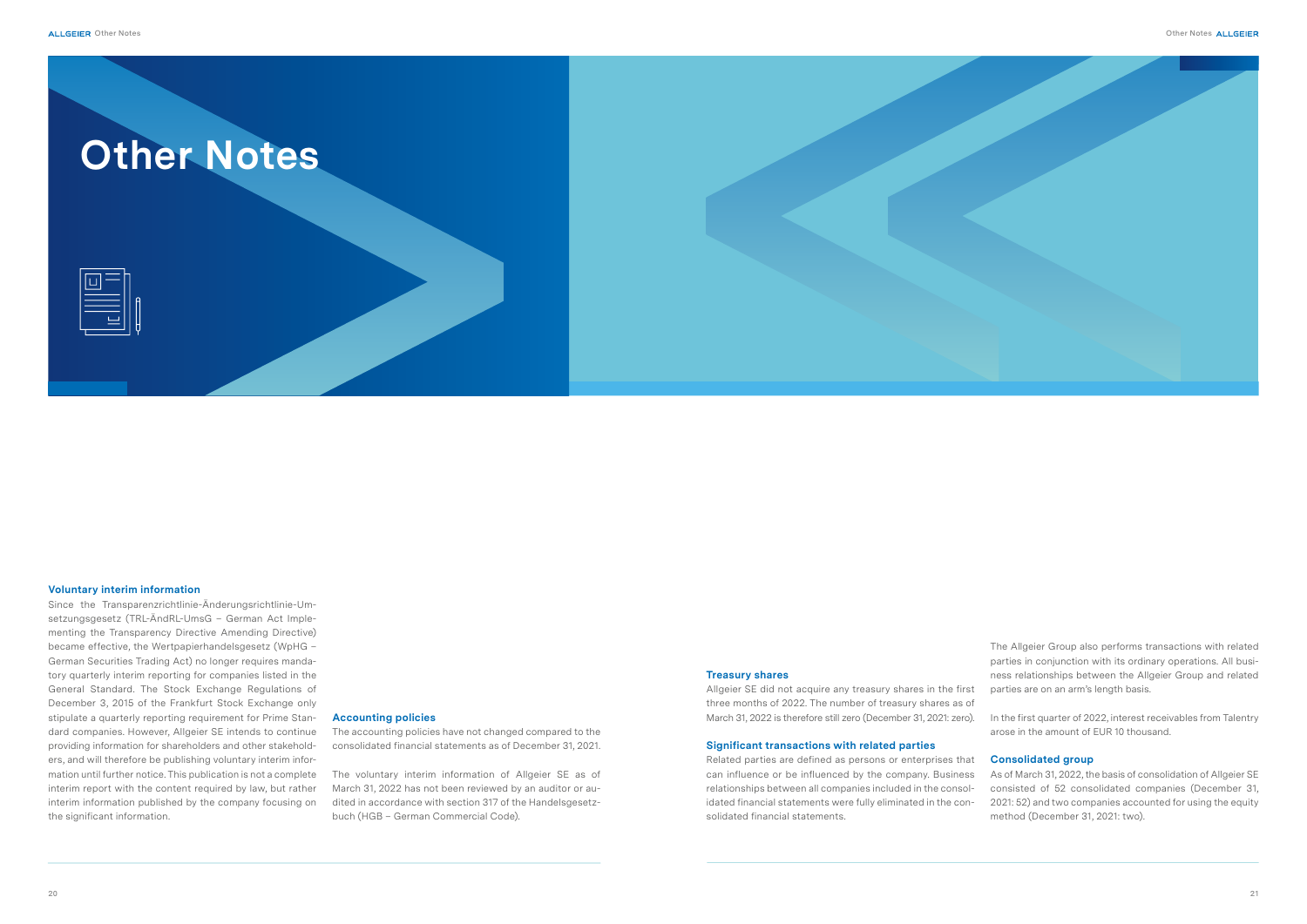#### **Accounting policies**

The accounting policies have not changed compared to the consolidated financial statements as of December 31, 2021.

The voluntary interim information of Allgeier SE as of March 31, 2022 has not been reviewed by an auditor or audited in accordance with section 317 of the Handelsgesetzbuch (HGB – German Commercial Code).

#### **Voluntary interim information**

Since the Transparenzrichtlinie-Änderungsrichtlinie-Umsetzungsgesetz (TRL-ÄndRL-UmsG – German Act Implementing the Transparency Directive Amending Directive) became effective, the Wertpapierhandelsgesetz (WpHG – German Securities Trading Act) no longer requires mandatory quarterly interim reporting for companies listed in the General Standard. The Stock Exchange Regulations of December 3, 2015 of the Frankfurt Stock Exchange only stipulate a quarterly reporting requirement for Prime Standard companies. However, Allgeier SE intends to continue providing information for shareholders and other stakeholders, and will therefore be publishing voluntary interim information until further notice. This publication is not a complete interim report with the content required by law, but rather interim information published by the company focusing on the significant information.

The Allgeier Group also performs transactions with related parties in conjunction with its ordinary operations. All business relationships between the Allgeier Group and related parties are on an arm's length basis.

In the first quarter of 2022, interest receivables from Talentry arose in the amount of EUR 10 thousand.

#### **Consolidated group**

#### **Treasury shares**

Allgeier SE did not acquire any treasury shares in the first three months of 2022. The number of treasury shares as of March 31, 2022 is therefore still zero (December 31, 2021: zero).

As of March 31, 2022, the basis of consolidation of Allgeier SE consisted of 52 consolidated companies (December 31, 2021: 52) and two companies accounted for using the equity method (December 31, 2021: two). Related parties are defined as persons or enterprises that can influence or be influenced by the company. Business relationships between all companies included in the consolidated financial statements were fully eliminated in the consolidated financial statements.

#### **Significant transactions with related parties**

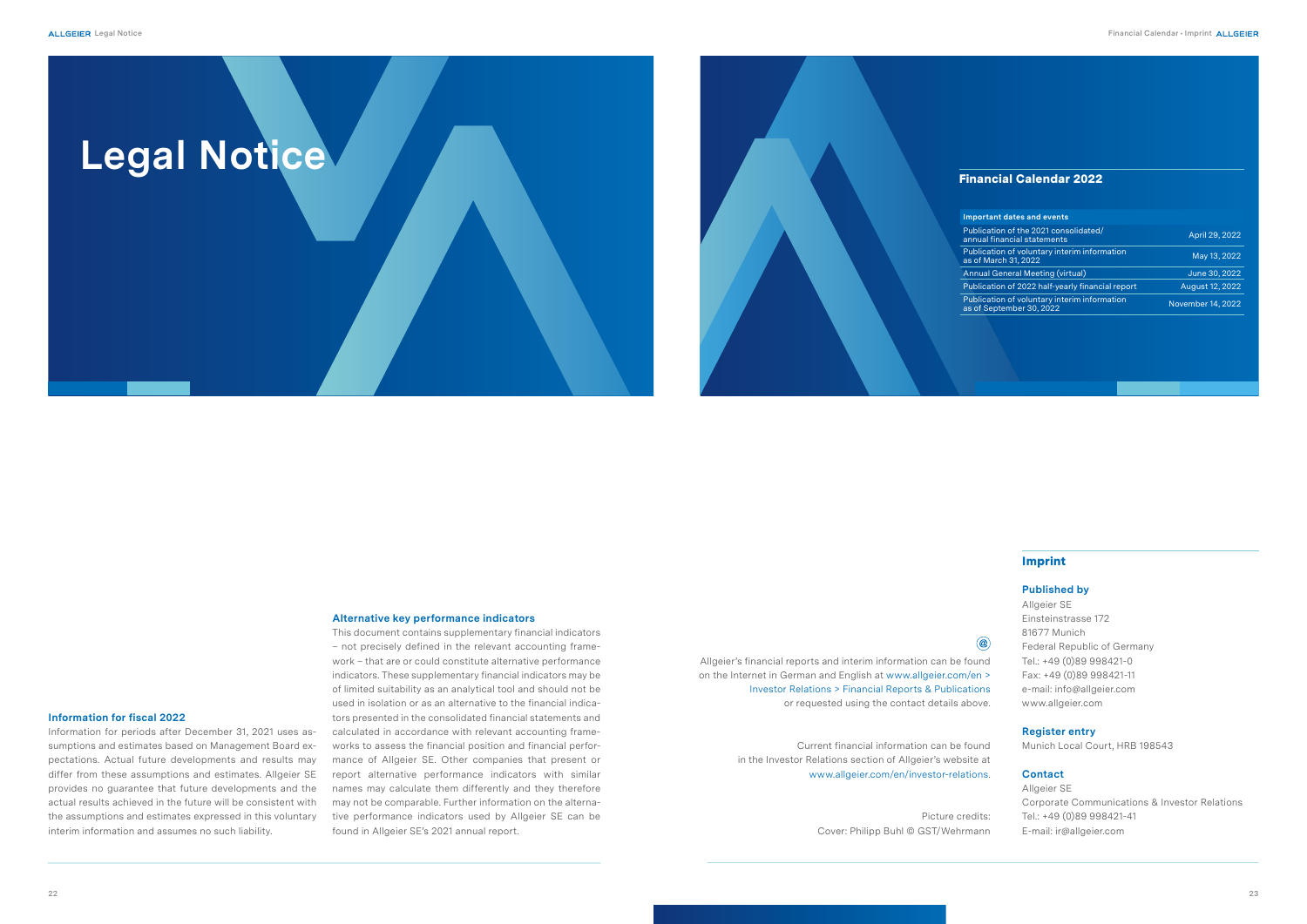#### Imprint

 $\circledcirc$ 

#### **Published by**

| Allgeier SE                        |
|------------------------------------|
| Einsteinstrasse 172                |
| 81677 Munich                       |
| <b>Federal Republic of Germany</b> |
| Tel.: +49 (0)89 998421-0           |
| Fax: +49 (0)89 998421-11           |
| e-mail: info@allgeier.com          |
| www.allgeier.com                   |
|                                    |

#### **Register entry**

Munich Local Court, HRB 198543

#### **Contact**

| Corporate Communications & Investor Relations |
|-----------------------------------------------|
|                                               |
|                                               |
|                                               |

# Financial Calendar 2022 **Impo** Public<br>annua Publication of volume interim in the volume of volume in the volume of volume interim in the volume of volume interim in the volume of volume interim in the volume of volume interim in the volume interim in the volume of v Publication Publication Publication Christmas of voluntary interiments of volume interiments and the volume in<br>
Publication Christmas of voluntary interiments are experiments and the experiments are the experiments are the

Allgeier's financial reports and interim information can be found on the Internet in German and English at www.allgeier.com/en > Investor Relations > Financial Reports & Publications or requested using the contact details above.

> Current financial information can be found in the Investor Relations section of Allgeier's website at www.allgeier.com/en/investor-relations.

> > Picture credits: Cover: Philipp Buhl © GST/Wehrmann

| <b>Important dates and events</b>                                        |                   |
|--------------------------------------------------------------------------|-------------------|
| Publication of the 2021 consolidated/<br>annual financial statements     | April 29, 2022    |
| Publication of voluntary interim information<br>as of March 31, 2022     | May 13, 2022      |
| <b>Annual General Meeting (virtual)</b>                                  | June 30, 2022     |
| Publication of 2022 half-yearly financial report                         | August 12, 2022   |
| Publication of voluntary interim information<br>as of September 30, 2022 | November 14, 2022 |
|                                                                          |                   |

#### **Alternative key performance indicators**

This document contains supplementary financial indicators – not precisely defined in the relevant accounting framework – that are or could constitute alternative performance indicators. These supplementary financial indicators may be of limited suitability as an analytical tool and should not be used in isolation or as an alternative to the financial indicators presented in the consolidated financial statements and calculated in accordance with relevant accounting frameworks to assess the financial position and financial performance of Allgeier SE. Other companies that present or report alternative performance indicators with similar names may calculate them differently and they therefore may not be comparable. Further information on the alternative performance indicators used by Allgeier SE can be found in Allgeier SE's 2021 annual report.

#### **Information for fiscal 2022**

Information for periods after December 31, 2021 uses assumptions and estimates based on Management Board expectations. Actual future developments and results may differ from these assumptions and estimates. Allgeier SE provides no guarantee that future developments and the actual results achieved in the future will be consistent with the assumptions and estimates expressed in this voluntary interim information and assumes no such liability.

![](_page_11_Picture_1.jpeg)